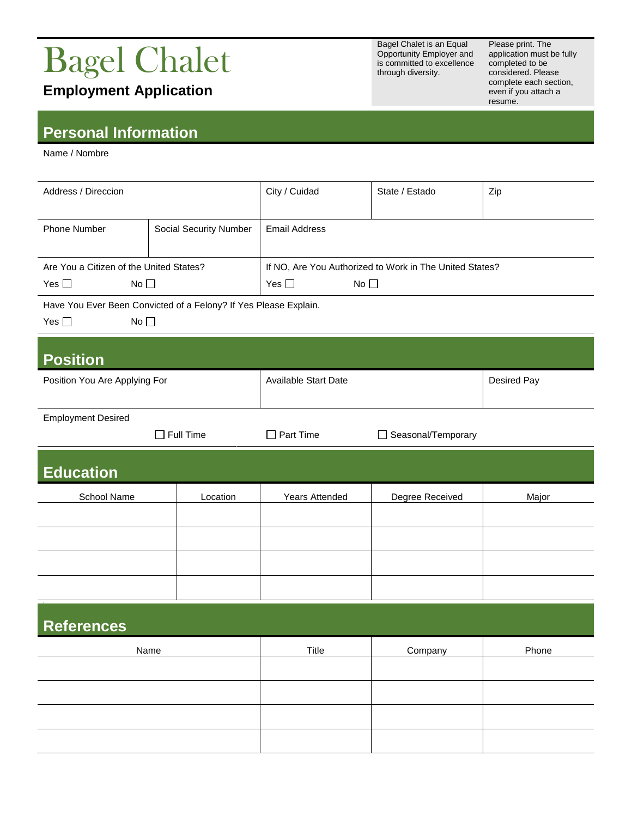## Bagel Chalet

**Employment Application**

**Personal Information**

Name / Nombre

| Address / Direccion                                              |                        | City / Cuidad                                           | State / Estado  | Zip         |  |  |
|------------------------------------------------------------------|------------------------|---------------------------------------------------------|-----------------|-------------|--|--|
| <b>Phone Number</b>                                              | Social Security Number | <b>Email Address</b>                                    |                 |             |  |  |
| Are You a Citizen of the United States?                          |                        | If NO, Are You Authorized to Work in The United States? |                 |             |  |  |
| Yes $\square$<br>No <sub>1</sub>                                 |                        | Yes $\square$<br>No <sub>1</sub>                        |                 |             |  |  |
| Have You Ever Been Convicted of a Felony? If Yes Please Explain. |                        |                                                         |                 |             |  |  |
| No <sub>1</sub><br>Yes $\square$                                 |                        |                                                         |                 |             |  |  |
| <b>Position</b>                                                  |                        |                                                         |                 |             |  |  |
| Position You Are Applying For                                    |                        | Available Start Date                                    |                 | Desired Pay |  |  |
| <b>Employment Desired</b>                                        |                        |                                                         |                 |             |  |  |
|                                                                  | $\Box$ Full Time       | $\Box$ Part Time<br>Seasonal/Temporary                  |                 |             |  |  |
| <b>Education</b>                                                 |                        |                                                         |                 |             |  |  |
| School Name                                                      | Location               | <b>Years Attended</b>                                   | Degree Received | Major       |  |  |
|                                                                  |                        |                                                         |                 |             |  |  |
|                                                                  |                        |                                                         |                 |             |  |  |
|                                                                  |                        |                                                         |                 |             |  |  |
|                                                                  |                        |                                                         |                 |             |  |  |
| <b>References</b>                                                |                        |                                                         |                 |             |  |  |
| Name                                                             |                        | <b>Title</b>                                            | Company         | Phone       |  |  |
|                                                                  |                        |                                                         |                 |             |  |  |
|                                                                  |                        |                                                         |                 |             |  |  |
|                                                                  |                        |                                                         |                 |             |  |  |

Bagel Chalet is an Equal Opportunity Employer and is committed to excellence through diversity.

Please print. The application must be fully completed to be considered. Please complete each section, even if you attach a resume.